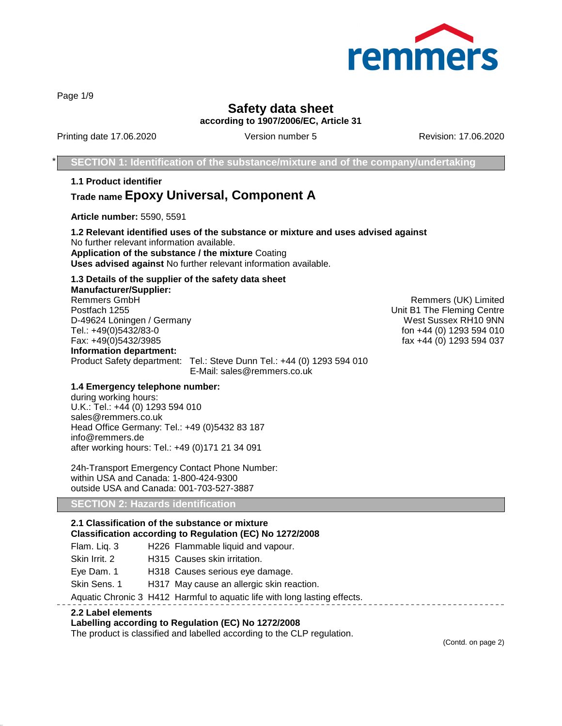

Page 1/9

# **Safety data sheet according to 1907/2006/EC, Article 31**

Printing date 17.06.2020 **Version number 5** Revision: 17.06.2020 **Revision: 17.06.2020** 

**SECTION 1: Identification of the substance/mixture and of the company/undertaking** 

**1.1 Product identifier Trade name Epoxy Universal, Component A**

**Article number:** 5590, 5591

**1.2 Relevant identified uses of the substance or mixture and uses advised against** No further relevant information available. **Application of the substance / the mixture** Coating **Uses advised against** No further relevant information available.

# **1.3 Details of the supplier of the safety data sheet**

**Manufacturer/Supplier:** Remmers GmbH **Remmers (UK)** Limited Postfach 1255 Unit B1 The Fleming Centre D-49624 Löningen / Germany West Sussex RH10 9NN<br>Tel.: +49(0)5432/83-0<br>Tel.: +49(0)5432/83-0 Fax: +49(0)5432/3985 fax +44 (0) 1293 594 037 **Information department:** Product Safety department: Tel.: Steve Dunn Tel.: +44 (0) 1293 594 010 E-Mail: sales@remmers.co.uk

fon +44 (0) 1293 594 010

#### **1.4 Emergency telephone number:**

during working hours: U.K.: Tel.: +44 (0) 1293 594 010 sales@remmers.co.uk Head Office Germany: Tel.: +49 (0)5432 83 187 info@remmers.de after working hours: Tel.: +49 (0)171 21 34 091

24h-Transport Emergency Contact Phone Number: within USA and Canada: 1-800-424-9300 outside USA and Canada: 001-703-527-3887

### **SECTION 2: Hazards identification**

# **2.1 Classification of the substance or mixture**

# **Classification according to Regulation (EC) No 1272/2008**

Flam. Liq. 3 H226 Flammable liquid and vapour.

Skin Irrit. 2 H315 Causes skin irritation.

Eye Dam. 1 H318 Causes serious eye damage.

Skin Sens. 1 H317 May cause an allergic skin reaction.

Aquatic Chronic 3 H412 Harmful to aquatic life with long lasting effects.

#### **2.2 Label elements**

#### **Labelling according to Regulation (EC) No 1272/2008**

The product is classified and labelled according to the CLP regulation.

(Contd. on page 2)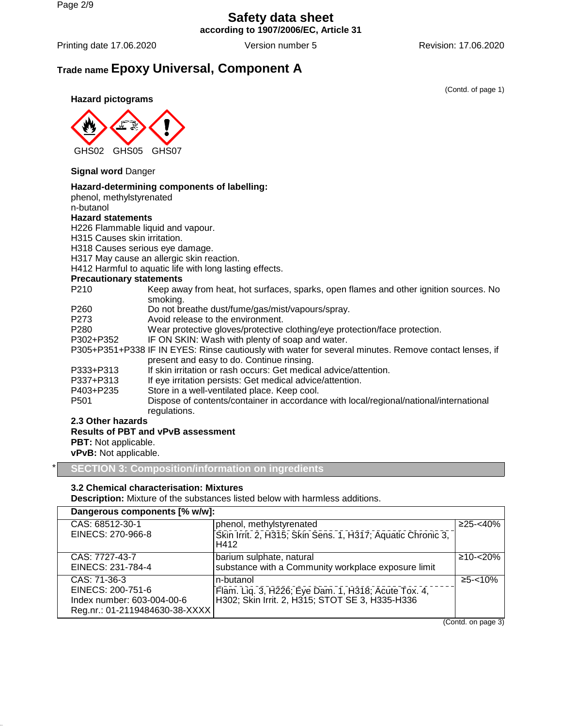# **Safety data sheet according to 1907/2006/EC, Article 31**

Printing date 17.06.2020 Version number 5 Revision: 17.06.2020

# **Trade name Epoxy Universal, Component A**

(Contd. of page 1)

**Hazard pictograms**



## **Signal word** Danger

### **Hazard-determining components of labelling:**

phenol, methylstyrenated n-butanol

### **Hazard statements**

H226 Flammable liquid and vapour.

H315 Causes skin irritation.

H318 Causes serious eye damage.

H317 May cause an allergic skin reaction.

H412 Harmful to aquatic life with long lasting effects.

### **Precautionary statements**

| <u>I</u> recautionally statements |                                                                                                       |
|-----------------------------------|-------------------------------------------------------------------------------------------------------|
| P <sub>210</sub>                  | Keep away from heat, hot surfaces, sparks, open flames and other ignition sources. No                 |
|                                   | smoking.                                                                                              |
| P <sub>260</sub>                  | Do not breathe dust/fume/gas/mist/vapours/spray.                                                      |
| P <sub>273</sub>                  | Avoid release to the environment.                                                                     |
| P <sub>280</sub>                  | Wear protective gloves/protective clothing/eye protection/face protection.                            |
| P302+P352                         | IF ON SKIN: Wash with plenty of soap and water.                                                       |
|                                   | P305+P351+P338 IF IN EYES: Rinse cautiously with water for several minutes. Remove contact lenses, if |
|                                   | present and easy to do. Continue rinsing.                                                             |
| P333+P313                         | If skin irritation or rash occurs: Get medical advice/attention.                                      |
| P337+P313                         | If eye irritation persists: Get medical advice/attention.                                             |
| P403+P235                         | Store in a well-ventilated place. Keep cool.                                                          |
| P <sub>501</sub>                  | Dispose of contents/container in accordance with local/regional/national/international                |
|                                   | regulations.                                                                                          |
| 2.2 Other horsede                 |                                                                                                       |

**2.3 Other hazards**

## **Results of PBT and vPvB assessment**

**PBT:** Not applicable.

**vPvB:** Not applicable.

\* **SECTION 3: Composition/information on ingredients**

# **3.2 Chemical characterisation: Mixtures**

**Description:** Mixture of the substances listed below with harmless additions.

| Dangerous components [% w/w]:  |                                                                                                         |                                  |
|--------------------------------|---------------------------------------------------------------------------------------------------------|----------------------------------|
| CAS: 68512-30-1                | phenol, methylstyrenated                                                                                | $≥25 - <40%$                     |
| EINECS: 270-966-8              | Skin Irrit. 2, H315; Skin Sens. 1, H317; Aquatic Chronic 3,<br>H412                                     |                                  |
| CAS: 7727-43-7                 | barium sulphate, natural                                                                                | $≥10 - < 20\%$                   |
| EINECS: 231-784-4              | substance with a Community workplace exposure limit                                                     |                                  |
| CAS: 71-36-3                   | n-butanol                                                                                               | $≥5 - < 10%$                     |
| EINECS: 200-751-6              | Flam. Liq. 3, H226; Eye Dam. 1, H318; Acute Tox. 4,<br> H302; Skin Irrit. 2, H315; STOT SE 3, H335-H336 |                                  |
| Index number: 603-004-00-6     |                                                                                                         |                                  |
| Reg.nr.: 01-2119484630-38-XXXX |                                                                                                         |                                  |
|                                |                                                                                                         | $\sqrt{2}$ $\sqrt{2}$ $\sqrt{2}$ |

(Contd. on page 3)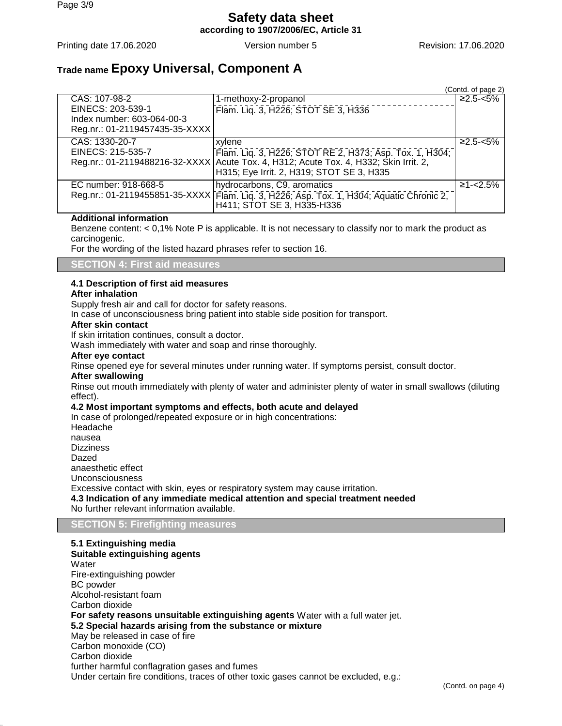# **Safety data sheet according to 1907/2006/EC, Article 31**

Printing date 17.06.2020 **Version number 5** Revision: 17.06.2020 **Revision: 17.06.2020** 

# **Trade name Epoxy Universal, Component A**

|                                |                                                                                                                                                                     | (Contd. of page 2) |
|--------------------------------|---------------------------------------------------------------------------------------------------------------------------------------------------------------------|--------------------|
| CAS: 107-98-2                  | 1-methoxy-2-propanol                                                                                                                                                | $≥2.5 - <5%$       |
| EINECS: 203-539-1              | Flam. Liq. 3, H226; STOT SE 3, H336                                                                                                                                 |                    |
| Index number: 603-064-00-3     |                                                                                                                                                                     |                    |
| Reg.nr.: 01-2119457435-35-XXXX |                                                                                                                                                                     |                    |
| CAS: 1330-20-7                 | xylene                                                                                                                                                              | $≥2.5 - <5%$       |
| EINECS: 215-535-7              | EINECS: 215-535-7 [Flam. Liq. 3, H226; STOT RE 2, H373; Asp. Tox. 1, H304;<br>Reg.nr.: 01-2119488216-32-XXXX Acute Tox. 4, H312; Acute Tox. 4, H332; Skin Irrit. 2, |                    |
|                                |                                                                                                                                                                     |                    |
|                                | H315; Eye Irrit. 2, H319; STOT SE 3, H335                                                                                                                           |                    |
| EC number: 918-668-5           | hydrocarbons, C9, aromatics                                                                                                                                         | $≥1 - < 2.5\%$     |
|                                | Reg.nr.: 01-2119455851-35-XXXX [Flam. Liq. 3, H226; Asp. Tox. 1, H304; Aquatic Chronic 2,<br>H411; STOT SE 3, H335-H336                                             |                    |

### **Additional information**

Benzene content:  $< 0.1\%$  Note P is applicable. It is not necessary to classify nor to mark the product as carcinogenic.

For the wording of the listed hazard phrases refer to section 16.

**SECTION 4: First aid measures**

# **4.1 Description of first aid measures**

#### **After inhalation**

Supply fresh air and call for doctor for safety reasons.

In case of unconsciousness bring patient into stable side position for transport.

#### **After skin contact**

If skin irritation continues, consult a doctor.

Wash immediately with water and soap and rinse thoroughly.

#### **After eye contact**

Rinse opened eye for several minutes under running water. If symptoms persist, consult doctor.

#### **After swallowing**

Rinse out mouth immediately with plenty of water and administer plenty of water in small swallows (diluting effect).

### **4.2 Most important symptoms and effects, both acute and delayed**

In case of prolonged/repeated exposure or in high concentrations: Headache nausea **Dizziness** Dazed anaesthetic effect Unconsciousness Excessive contact with skin, eyes or respiratory system may cause irritation. **4.3 Indication of any immediate medical attention and special treatment needed** No further relevant information available.

#### **SECTION 5: Firefighting measures**

**5.1 Extinguishing media Suitable extinguishing agents** Water Fire-extinguishing powder BC powder Alcohol-resistant foam Carbon dioxide **For safety reasons unsuitable extinguishing agents** Water with a full water jet. **5.2 Special hazards arising from the substance or mixture** May be released in case of fire Carbon monoxide (CO) Carbon dioxide further harmful conflagration gases and fumes Under certain fire conditions, traces of other toxic gases cannot be excluded, e.g.: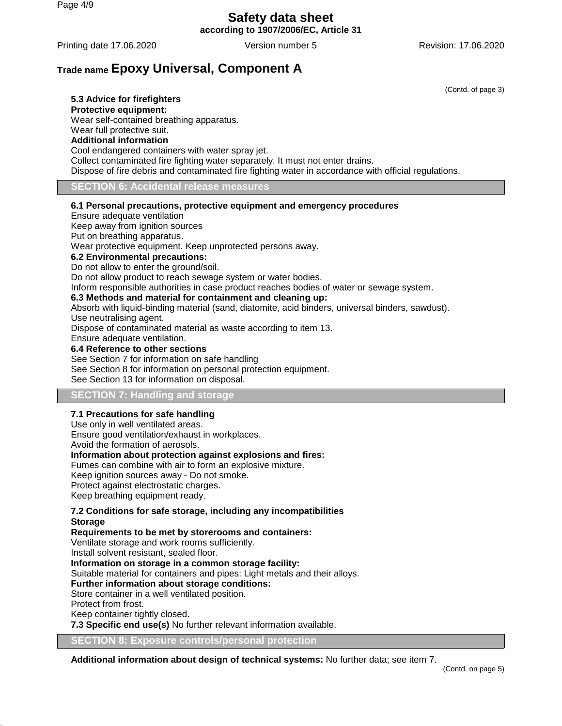# **Safety data sheet according to 1907/2006/EC, Article 31**

Printing date 17.06.2020 **Version number 5** Revision: 17.06.2020 **Revision: 17.06.2020** 

# **Trade name Epoxy Universal, Component A**

(Contd. of page 3)

**5.3 Advice for firefighters Protective equipment:** Wear self-contained breathing apparatus. Wear full protective suit. **Additional information** Cool endangered containers with water spray jet. Collect contaminated fire fighting water separately. It must not enter drains. Dispose of fire debris and contaminated fire fighting water in accordance with official regulations.

**SECTION 6: Accidental release measures**

#### **6.1 Personal precautions, protective equipment and emergency procedures**

Ensure adequate ventilation Keep away from ignition sources Put on breathing apparatus. Wear protective equipment. Keep unprotected persons away. **6.2 Environmental precautions:** Do not allow to enter the ground/soil. Do not allow product to reach sewage system or water bodies. Inform responsible authorities in case product reaches bodies of water or sewage system. **6.3 Methods and material for containment and cleaning up:** Absorb with liquid-binding material (sand, diatomite, acid binders, universal binders, sawdust). Use neutralising agent. Dispose of contaminated material as waste according to item 13. Ensure adequate ventilation.

#### **6.4 Reference to other sections**

See Section 7 for information on safe handling See Section 8 for information on personal protection equipment. See Section 13 for information on disposal.

# **SECTION 7: Handling and storage**

#### **7.1 Precautions for safe handling**

Use only in well ventilated areas. Ensure good ventilation/exhaust in workplaces. Avoid the formation of aerosols.

# **Information about protection against explosions and fires:**

Fumes can combine with air to form an explosive mixture. Keep ignition sources away - Do not smoke.

Protect against electrostatic charges.

Keep breathing equipment ready.

#### **7.2 Conditions for safe storage, including any incompatibilities Storage**

**Requirements to be met by storerooms and containers:** Ventilate storage and work rooms sufficiently. Install solvent resistant, sealed floor. **Information on storage in a common storage facility:** Suitable material for containers and pipes: Light metals and their alloys. **Further information about storage conditions:** Store container in a well ventilated position. Protect from frost. Keep container tightly closed. **7.3 Specific end use(s)** No further relevant information available.

**8: Exposure controls/personal protection** 

**Additional information about design of technical systems:** No further data; see item 7.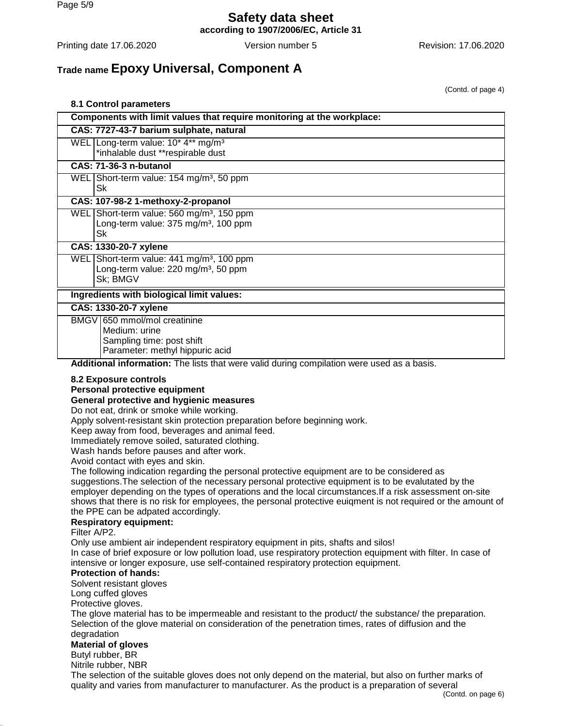**according to 1907/2006/EC, Article 31**

Printing date 17.06.2020 Version number 5 Revision: 17.06.2020

# **Trade name Epoxy Universal, Component A**

(Contd. of page 4)

| 8.1 Control parameters                                                                                                                              |                                                                                                                   |  |
|-----------------------------------------------------------------------------------------------------------------------------------------------------|-------------------------------------------------------------------------------------------------------------------|--|
|                                                                                                                                                     | Components with limit values that require monitoring at the workplace:                                            |  |
|                                                                                                                                                     | CAS: 7727-43-7 barium sulphate, natural                                                                           |  |
|                                                                                                                                                     | WEL Long-term value: 10* 4** mg/m <sup>3</sup>                                                                    |  |
|                                                                                                                                                     | *inhalable dust **respirable dust                                                                                 |  |
|                                                                                                                                                     | <b>CAS: 71-36-3 n-butanol</b>                                                                                     |  |
|                                                                                                                                                     | WEL Short-term value: 154 mg/m <sup>3</sup> , 50 ppm<br>Sk                                                        |  |
|                                                                                                                                                     | CAS: 107-98-2 1-methoxy-2-propanol                                                                                |  |
|                                                                                                                                                     | WEL Short-term value: 560 mg/m <sup>3</sup> , 150 ppm                                                             |  |
|                                                                                                                                                     | Long-term value: 375 mg/m <sup>3</sup> , 100 ppm                                                                  |  |
|                                                                                                                                                     | Sk                                                                                                                |  |
|                                                                                                                                                     | CAS: 1330-20-7 xylene                                                                                             |  |
|                                                                                                                                                     | WEL Short-term value: 441 mg/m <sup>3</sup> , 100 ppm<br>Long-term value: 220 mg/m <sup>3</sup> , 50 ppm          |  |
|                                                                                                                                                     | Sk: BMGV                                                                                                          |  |
|                                                                                                                                                     | Ingredients with biological limit values:                                                                         |  |
|                                                                                                                                                     |                                                                                                                   |  |
|                                                                                                                                                     | CAS: 1330-20-7 xylene<br>BMGV 650 mmol/mol creatinine                                                             |  |
|                                                                                                                                                     | Medium: urine                                                                                                     |  |
|                                                                                                                                                     | Sampling time: post shift                                                                                         |  |
|                                                                                                                                                     | Parameter: methyl hippuric acid                                                                                   |  |
|                                                                                                                                                     | Additional information: The lists that were valid during compilation were used as a basis.                        |  |
|                                                                                                                                                     | 8.2 Exposure controls                                                                                             |  |
|                                                                                                                                                     | Personal protective equipment                                                                                     |  |
|                                                                                                                                                     | General protective and hygienic measures                                                                          |  |
|                                                                                                                                                     | Do not eat, drink or smoke while working.                                                                         |  |
|                                                                                                                                                     | Apply solvent-resistant skin protection preparation before beginning work.                                        |  |
|                                                                                                                                                     | Keep away from food, beverages and animal feed.<br>Immediately remove soiled, saturated clothing.                 |  |
|                                                                                                                                                     | Wash hands before pauses and after work.                                                                          |  |
|                                                                                                                                                     | Avoid contact with eyes and skin.                                                                                 |  |
|                                                                                                                                                     | The following indication regarding the personal protective equipment are to be considered as                      |  |
|                                                                                                                                                     | suggestions. The selection of the necessary personal protective equipment is to be evalutated by the              |  |
|                                                                                                                                                     | employer depending on the types of operations and the local circumstances. If a risk assessment on-site           |  |
| shows that there is no risk for employees, the personal protective euigment is not required or the amount of<br>the PPE can be adpated accordingly. |                                                                                                                   |  |
|                                                                                                                                                     | <b>Respiratory equipment:</b>                                                                                     |  |
|                                                                                                                                                     | Filter A/P2.                                                                                                      |  |
|                                                                                                                                                     | Only use ambient air independent respiratory equipment in pits, shafts and silos!                                 |  |
| In case of brief exposure or low pollution load, use respiratory protection equipment with filter. In case of                                       |                                                                                                                   |  |
|                                                                                                                                                     | intensive or longer exposure, use self-contained respiratory protection equipment.<br><b>Protection of hands:</b> |  |
|                                                                                                                                                     | Solvent resistant gloves                                                                                          |  |
|                                                                                                                                                     | Long cuffed gloves                                                                                                |  |
|                                                                                                                                                     | Protective gloves.                                                                                                |  |
| The glove material has to be impermeable and resistant to the product/ the substance/ the preparation.                                              |                                                                                                                   |  |
| Selection of the glove material on consideration of the penetration times, rates of diffusion and the                                               |                                                                                                                   |  |
|                                                                                                                                                     | degradation                                                                                                       |  |
| <b>Material of gloves</b><br>Butyl rubber, BR                                                                                                       |                                                                                                                   |  |
|                                                                                                                                                     | Nitrile rubber, NBR                                                                                               |  |

The selection of the suitable gloves does not only depend on the material, but also on further marks of quality and varies from manufacturer to manufacturer. As the product is a preparation of several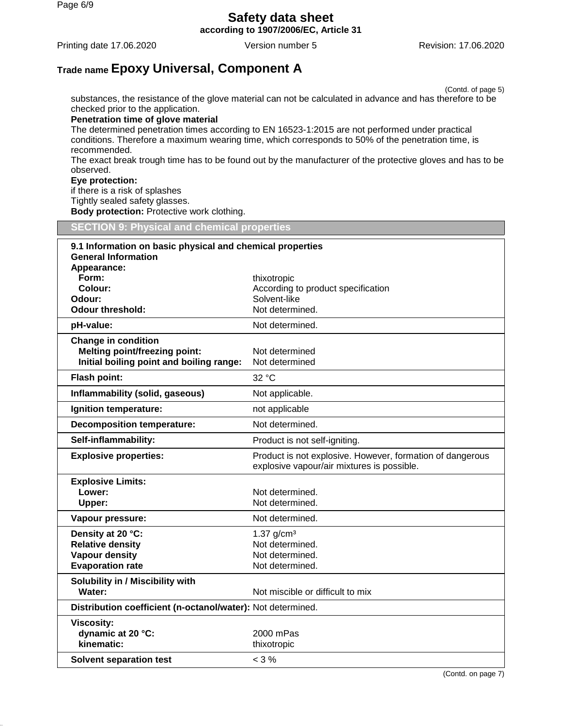**according to 1907/2006/EC, Article 31**

Printing date 17.06.2020 Version number 5 Revision: 17.06.2020

# **Trade name Epoxy Universal, Component A**

(Contd. of page 5) substances, the resistance of the glove material can not be calculated in advance and has therefore to be checked prior to the application.

#### **Penetration time of glove material**

The determined penetration times according to EN 16523-1:2015 are not performed under practical conditions. Therefore a maximum wearing time, which corresponds to 50% of the penetration time, is recommended.

The exact break trough time has to be found out by the manufacturer of the protective gloves and has to be observed.

#### **Eye protection:**

if there is a risk of splashes

Tightly sealed safety glasses.

**Body protection:** Protective work clothing.

| <b>SECTION 9: Physical and chemical properties</b>                                                             |                                                                                                         |  |
|----------------------------------------------------------------------------------------------------------------|---------------------------------------------------------------------------------------------------------|--|
| 9.1 Information on basic physical and chemical properties<br><b>General Information</b><br>Appearance:         |                                                                                                         |  |
| Form:<br>Colour:<br>Odour:<br><b>Odour threshold:</b>                                                          | thixotropic<br>According to product specification<br>Solvent-like<br>Not determined.                    |  |
| pH-value:                                                                                                      | Not determined.                                                                                         |  |
| <b>Change in condition</b><br><b>Melting point/freezing point:</b><br>Initial boiling point and boiling range: | Not determined<br>Not determined                                                                        |  |
| <b>Flash point:</b>                                                                                            | 32 °C                                                                                                   |  |
| Inflammability (solid, gaseous)                                                                                | Not applicable.                                                                                         |  |
| Ignition temperature:                                                                                          | not applicable                                                                                          |  |
| <b>Decomposition temperature:</b>                                                                              | Not determined.                                                                                         |  |
| Self-inflammability:                                                                                           | Product is not self-igniting.                                                                           |  |
| <b>Explosive properties:</b>                                                                                   | Product is not explosive. However, formation of dangerous<br>explosive vapour/air mixtures is possible. |  |
| <b>Explosive Limits:</b><br>Lower:<br>Upper:                                                                   | Not determined.<br>Not determined.                                                                      |  |
| Vapour pressure:                                                                                               | Not determined.                                                                                         |  |
| Density at 20 °C:<br><b>Relative density</b><br><b>Vapour density</b><br><b>Evaporation rate</b>               | 1.37 $g/cm3$<br>Not determined.<br>Not determined.<br>Not determined.                                   |  |
| Solubility in / Miscibility with<br>Water:                                                                     | Not miscible or difficult to mix                                                                        |  |
| Distribution coefficient (n-octanol/water): Not determined.                                                    |                                                                                                         |  |
| <b>Viscosity:</b><br>dynamic at 20 °C:<br>kinematic:                                                           | 2000 mPas<br>thixotropic                                                                                |  |
| <b>Solvent separation test</b>                                                                                 | $< 3 \%$                                                                                                |  |

(Contd. on page 7)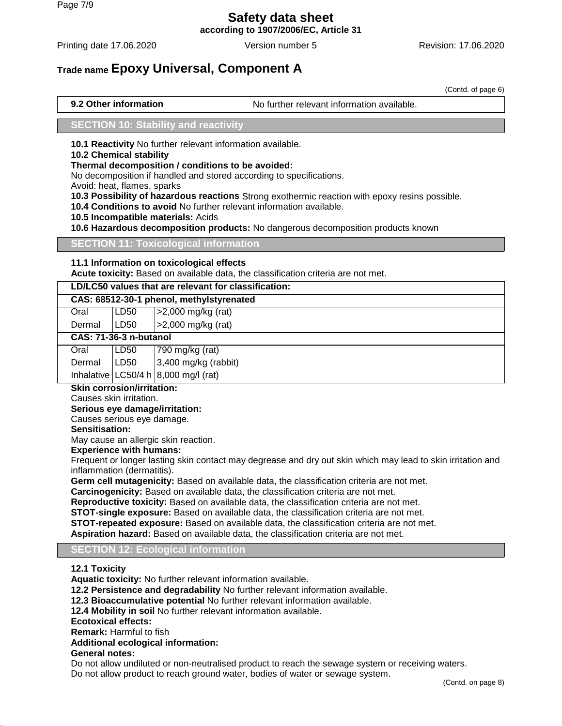**according to 1907/2006/EC, Article 31**

Printing date 17.06.2020 **Version number 5** Revision: 17.06.2020 **Revision: 17.06.2020** 

# **Trade name Epoxy Universal, Component A**

(Contd. of page 6)

**9.2 Other information** No further relevant information available.

## **SECTION 10: Stability and reactivity**

**10.1 Reactivity** No further relevant information available.

#### **10.2 Chemical stability**

**Thermal decomposition / conditions to be avoided:**

No decomposition if handled and stored according to specifications.

Avoid: heat, flames, sparks

**10.3 Possibility of hazardous reactions** Strong exothermic reaction with epoxy resins possible.

**10.4 Conditions to avoid** No further relevant information available.

**10.5 Incompatible materials:** Acids

**10.6 Hazardous decomposition products:** No dangerous decomposition products known

### **SECTION 11: Toxicological information**

### **11.1 Information on toxicological effects**

**Acute toxicity:** Based on available data, the classification criteria are not met.

### **LD/LC50 values that are relevant for classification:**

## **CAS: 68512-30-1 phenol, methylstyrenated**

| Oral   | LD50 | >2,000 mg/kg (rat) |
|--------|------|--------------------|
| Dermal | LD50 | >2,000 mg/kg (rat) |

### **CAS: 71-36-3 n-butanol**

| Oral | LD50 | 790 mg/kg (rat)                                                                                                          |
|------|------|--------------------------------------------------------------------------------------------------------------------------|
|      |      |                                                                                                                          |
|      |      | Dermal LD50 $\begin{vmatrix} 3,400 \text{ mg/kg (rabbit)} \\ 1 \text{hbalative} \end{vmatrix}$ LC50/4 h 8,000 mg/l (rat) |

# **Skin corrosion/irritation:**

Causes skin irritation.

#### **Serious eye damage/irritation:**

Causes serious eye damage.

### **Sensitisation:**

May cause an allergic skin reaction.

#### **Experience with humans:**

Frequent or longer lasting skin contact may degrease and dry out skin which may lead to skin irritation and inflammation (dermatitis).

**Germ cell mutagenicity:** Based on available data, the classification criteria are not met.

**Carcinogenicity:** Based on available data, the classification criteria are not met.

**Reproductive toxicity:** Based on available data, the classification criteria are not met.

**STOT-single exposure:** Based on available data, the classification criteria are not met.

**STOT-repeated exposure:** Based on available data, the classification criteria are not met.

**Aspiration hazard:** Based on available data, the classification criteria are not met.

#### **SECTION 12: Ecological information**

# **12.1 Toxicity**

**Aquatic toxicity:** No further relevant information available.

**12.2 Persistence and degradability** No further relevant information available.

**12.3 Bioaccumulative potential** No further relevant information available.

**12.4 Mobility in soil** No further relevant information available.

**Ecotoxical effects:**

**Remark:** Harmful to fish

**Additional ecological information:**

#### **General notes:**

Do not allow undiluted or non-neutralised product to reach the sewage system or receiving waters. Do not allow product to reach ground water, bodies of water or sewage system.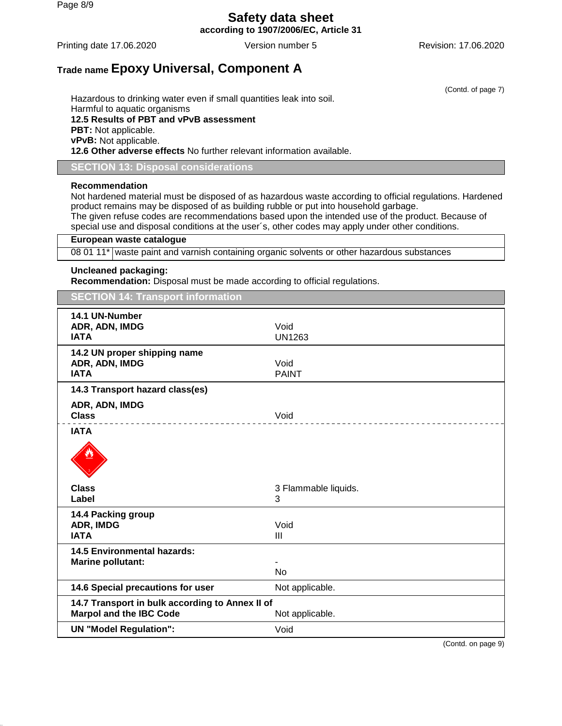Page 8/9

# **Safety data sheet**

**according to 1907/2006/EC, Article 31**

Printing date 17.06.2020 **Version number 5** Revision: 17.06.2020 **Revision: 17.06.2020** 

(Contd. of page 7)

# **Trade name Epoxy Universal, Component A**

Hazardous to drinking water even if small quantities leak into soil. Harmful to aquatic organisms **12.5 Results of PBT and vPvB assessment PBT:** Not applicable. **vPvB:** Not applicable. **12.6 Other adverse effects** No further relevant information available.

**SECTION 13: Disposal considerations**

#### **Recommendation**

Not hardened material must be disposed of as hazardous waste according to official regulations. Hardened product remains may be disposed of as building rubble or put into household garbage. The given refuse codes are recommendations based upon the intended use of the product. Because of

special use and disposal conditions at the user´s, other codes may apply under other conditions.

#### **European waste catalogue**

08 01 11\* waste paint and varnish containing organic solvents or other hazardous substances

#### **Uncleaned packaging:**

**Recommendation:** Disposal must be made according to official regulations.

**SECTION 14: Transport information**

| 14.1 UN-Number<br>ADR, ADN, IMDG<br><b>IATA</b>                                   | Void<br><b>UN1263</b>  |
|-----------------------------------------------------------------------------------|------------------------|
| 14.2 UN proper shipping name<br>ADR, ADN, IMDG<br><b>IATA</b>                     | Void<br><b>PAINT</b>   |
| 14.3 Transport hazard class(es)                                                   |                        |
| ADR, ADN, IMDG<br><b>Class</b>                                                    | Void                   |
| <b>IATA</b>                                                                       |                        |
|                                                                                   |                        |
| <b>Class</b>                                                                      | 3 Flammable liquids.   |
| Label                                                                             | 3                      |
| 14.4 Packing group<br>ADR, IMDG<br><b>IATA</b>                                    | Void<br>$\mathbf{III}$ |
| <b>14.5 Environmental hazards:</b>                                                |                        |
| <b>Marine pollutant:</b>                                                          | <b>No</b>              |
|                                                                                   |                        |
| 14.6 Special precautions for user                                                 | Not applicable.        |
| 14.7 Transport in bulk according to Annex II of<br><b>Marpol and the IBC Code</b> | Not applicable.        |
| <b>UN "Model Regulation":</b>                                                     | Void                   |

(Contd. on page 9)